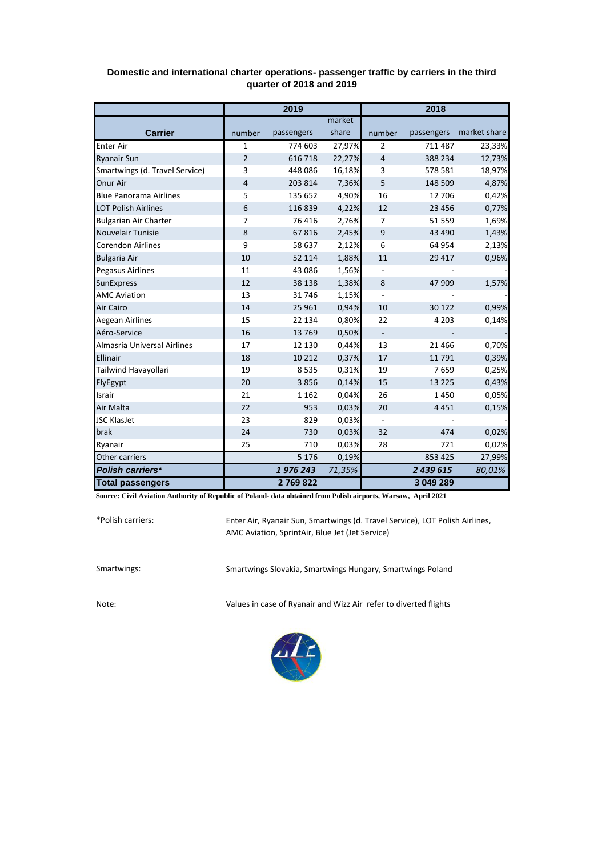|                                | 2019           |            |        | 2018                     |            |              |  |
|--------------------------------|----------------|------------|--------|--------------------------|------------|--------------|--|
|                                |                |            | market |                          |            |              |  |
| <b>Carrier</b>                 | number         | passengers | share  | number                   | passengers | market share |  |
| <b>Enter Air</b>               | $\mathbf{1}$   | 774 603    | 27,97% | $\overline{2}$           | 711 487    | 23,33%       |  |
| <b>Ryanair Sun</b>             | 2              | 616 718    | 22,27% | 4                        | 388 234    | 12,73%       |  |
| Smartwings (d. Travel Service) | 3              | 448 086    | 16,18% | 3                        | 578 581    | 18,97%       |  |
| Onur Air                       | $\overline{4}$ | 203 814    | 7,36%  | 5                        | 148 509    | 4,87%        |  |
| <b>Blue Panorama Airlines</b>  | 5              | 135 652    | 4,90%  | 16                       | 12 706     | 0,42%        |  |
| <b>LOT Polish Airlines</b>     | 6              | 116 839    | 4,22%  | 12                       | 23 4 5 6   | 0,77%        |  |
| <b>Bulgarian Air Charter</b>   | 7              | 76 416     | 2,76%  | 7                        | 51 559     | 1,69%        |  |
| Nouvelair Tunisie              | 8              | 67816      | 2,45%  | 9                        | 43 4 90    | 1,43%        |  |
| <b>Corendon Airlines</b>       | 9              | 58 637     | 2,12%  | 6                        | 64 954     | 2,13%        |  |
| <b>Bulgaria Air</b>            | 10             | 52 114     | 1,88%  | 11                       | 29 4 17    | 0,96%        |  |
| <b>Pegasus Airlines</b>        | 11             | 43 086     | 1,56%  |                          |            |              |  |
| <b>SunExpress</b>              | 12             | 38 138     | 1,38%  | 8                        | 47 909     | 1,57%        |  |
| <b>AMC Aviation</b>            | 13             | 31746      | 1,15%  | $\overline{\phantom{a}}$ |            |              |  |
| Air Cairo                      | 14             | 25 961     | 0,94%  | 10                       | 30 122     | 0,99%        |  |
| Aegean Airlines                | 15             | 22 134     | 0,80%  | 22                       | 4 2 0 3    | 0,14%        |  |
| Aéro-Service                   | 16             | 13769      | 0,50%  | $\blacksquare$           |            |              |  |
| Almasria Universal Airlines    | 17             | 12 130     | 0,44%  | 13                       | 21 4 6 6   | 0,70%        |  |
| Ellinair                       | 18             | 10 212     | 0,37%  | 17                       | 11 791     | 0,39%        |  |
| Tailwind Havayollari           | 19             | 8535       | 0,31%  | 19                       | 7659       | 0,25%        |  |
| FlyEgypt                       | 20             | 3856       | 0,14%  | 15                       | 13 2 2 5   | 0,43%        |  |
| Israir                         | 21             | 1 1 6 2    | 0,04%  | 26                       | 1450       | 0,05%        |  |
| Air Malta                      | 22             | 953        | 0,03%  | 20                       | 4 4 5 1    | 0,15%        |  |
| <b>JSC KlasJet</b>             | 23             | 829        | 0,03%  | $\blacksquare$           |            |              |  |
| brak                           | 24             | 730        | 0,03%  | 32                       | 474        | 0,02%        |  |
| Ryanair                        | 25             | 710        | 0,03%  | 28                       | 721        | 0,02%        |  |
| Other carriers                 |                | 5 1 7 6    | 0,19%  |                          | 853 425    | 27,99%       |  |
| <b>Polish carriers*</b>        |                | 1976243    | 71,35% |                          | 2 439 615  | 80,01%       |  |
| <b>Total passengers</b>        |                | 2769822    |        |                          | 3 049 289  |              |  |

## **Domestic and international charter operations- passenger traffic by carriers in the third quarter of 2018 and 2019**

**Source: Civil Aviation Authority of Republic of Poland- data obtained from Polish airports, Warsaw, April 2021**

\*Polish carriers:

Enter Air, Ryanair Sun, Smartwings (d. Travel Service), LOT Polish Airlines, AMC Aviation, SprintAir, Blue Jet (Jet Service)

Smartwings: Smartwings Slovakia, Smartwings Hungary, Smartwings Poland

Note: Values in case of Ryanair and Wizz Air refer to diverted flights